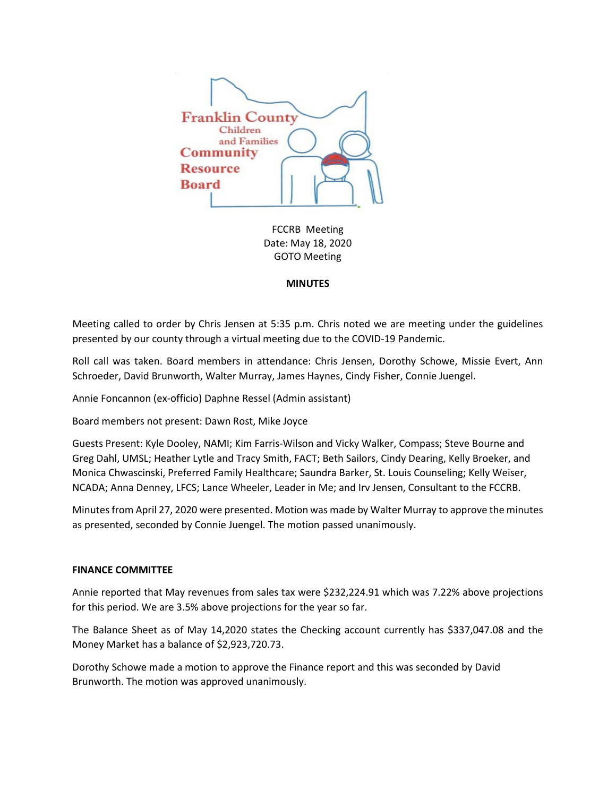

FCCRB Meeting Date: May 18, 2020 GOTO Meeting

## **MINUTES**

Meeting called to order by Chris Jensen at 5:35 p.m. Chris noted we are meeting under the guidelines presented by our county through a virtual meeting due to the COVID-19 Pandemic.

Roll call was taken. Board members in attendance: Chris Jensen, Dorothy Schowe, Missie Evert, Ann Schroeder, David Brunworth, Walter Murray, James Haynes, Cindy Fisher, Connie Juengel.

Annie Foncannon (ex-officio) Daphne Ressel (Admin assistant)

Board members not present: Dawn Rost, Mike Joyce

Guests Present: Kyle Dooley, NAMI; Kim Farris-Wilson and Vicky Walker, Compass; Steve Bourne and Greg Dahl, UMSL; Heather Lytle and Tracy Smith, FACT; Beth Sailors, Cindy Dearing, Kelly Broeker, and Monica Chwascinski, Preferred Family Healthcare; Saundra Barker, St. Louis Counseling; Kelly Weiser, NCADA; Anna Denney, LFCS; Lance Wheeler, Leader in Me; and Irv Jensen, Consultant to the FCCRB.

Minutes from April 27, 2020 were presented. Motion was made by Walter Murray to approve the minutes as presented, seconded by Connie Juengel. The motion passed unanimously.

## **FINANCE COMMITTEE**

Annie reported that May revenues from sales tax were \$232,224.91 which was 7.22% above projections for this period. We are 3.5% above projections for the year so far.

The Balance Sheet as of May 14,2020 states the Checking account currently has \$337,047.08 and the Money Market has a balance of \$2,923,720.73.

Dorothy Schowe made a motion to approve the Finance report and this was seconded by David Brunworth. The motion was approved unanimously.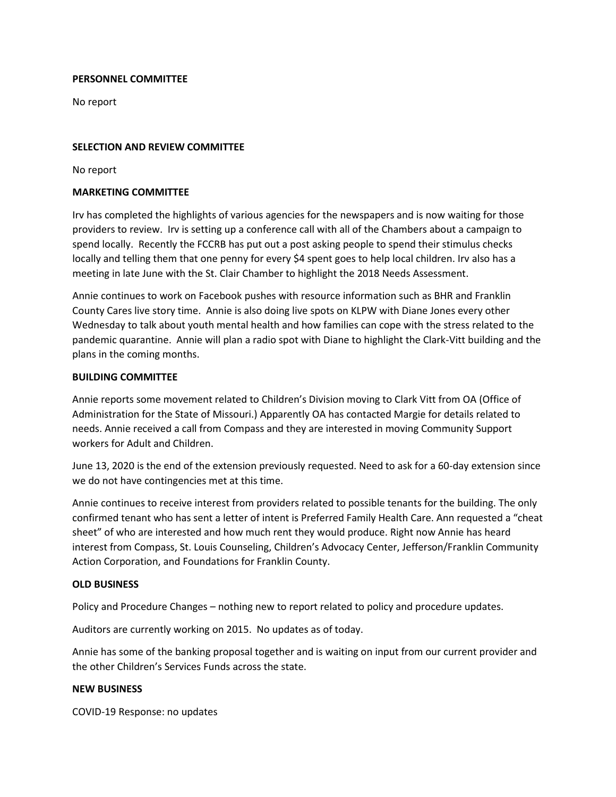# **PERSONNEL COMMITTEE**

No report

# **SELECTION AND REVIEW COMMITTEE**

No report

# **MARKETING COMMITTEE**

Irv has completed the highlights of various agencies for the newspapers and is now waiting for those providers to review. Irv is setting up a conference call with all of the Chambers about a campaign to spend locally. Recently the FCCRB has put out a post asking people to spend their stimulus checks locally and telling them that one penny for every \$4 spent goes to help local children. Irv also has a meeting in late June with the St. Clair Chamber to highlight the 2018 Needs Assessment.

Annie continues to work on Facebook pushes with resource information such as BHR and Franklin County Cares live story time. Annie is also doing live spots on KLPW with Diane Jones every other Wednesday to talk about youth mental health and how families can cope with the stress related to the pandemic quarantine. Annie will plan a radio spot with Diane to highlight the Clark-Vitt building and the plans in the coming months.

# **BUILDING COMMITTEE**

Annie reports some movement related to Children's Division moving to Clark Vitt from OA (Office of Administration for the State of Missouri.) Apparently OA has contacted Margie for details related to needs. Annie received a call from Compass and they are interested in moving Community Support workers for Adult and Children.

June 13, 2020 is the end of the extension previously requested. Need to ask for a 60-day extension since we do not have contingencies met at this time.

Annie continues to receive interest from providers related to possible tenants for the building. The only confirmed tenant who has sent a letter of intent is Preferred Family Health Care. Ann requested a "cheat sheet" of who are interested and how much rent they would produce. Right now Annie has heard interest from Compass, St. Louis Counseling, Children's Advocacy Center, Jefferson/Franklin Community Action Corporation, and Foundations for Franklin County.

## **OLD BUSINESS**

Policy and Procedure Changes – nothing new to report related to policy and procedure updates.

Auditors are currently working on 2015. No updates as of today.

Annie has some of the banking proposal together and is waiting on input from our current provider and the other Children's Services Funds across the state.

## **NEW BUSINESS**

COVID-19 Response: no updates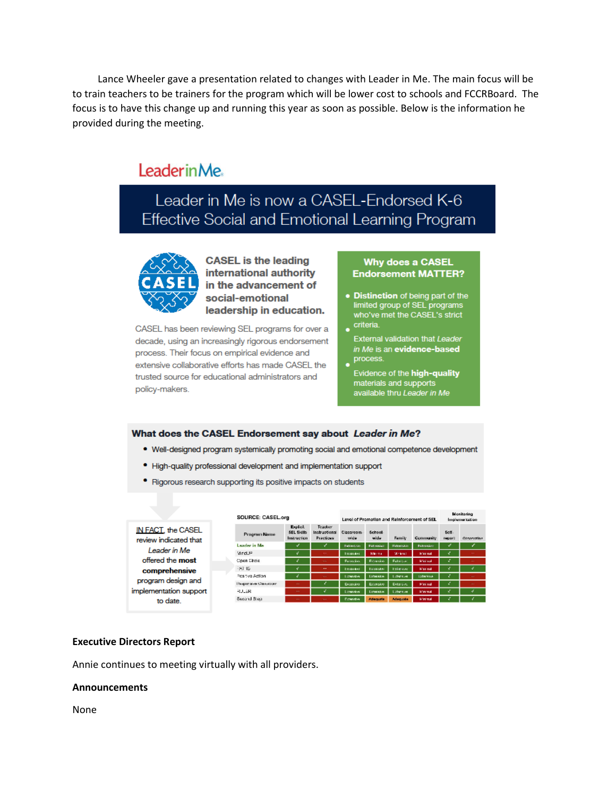Lance Wheeler gave a presentation related to changes with Leader in Me. The main focus will be to train teachers to be trainers for the program which will be lower cost to schools and FCCRBoard. The focus is to have this change up and running this year as soon as possible. Below is the information he provided during the meeting.

# LeaderinMe.

Leader in Me is now a CASEL-Endorsed K-6 Effective Social and Emotional Learning Program



**CASEL is the leading** international authority in the advancement of social-emotional leadership in education.

CASEL has been reviewing SEL programs for over a decade, using an increasingly rigorous endorsement process. Their focus on empirical evidence and extensive collaborative efforts has made CASEL the trusted source for educational administrators and policy-makers.

#### **Why does a CASEL Endorsement MATTER?**

- Distinction of being part of the limited group of SEL programs who've met the CASEL's strict  $\overline{\phantom{a}}$  criteria.
- 
- **External validation that Leader** in Me is an evidence-based process.
- Evidence of the high-quality materials and supports<br>available thru Leader in Me

#### What does the CASEL Endorsement say about Leader in Me?

- . Well-designed program systemically promoting social and emotional competence development
- · High-quality professional development and implementation support
- Rigorous research supporting its positive impacts on students

|                                                                                                                                                              | SOURCE: CASEL.org    |                                              |                                       | Level of Promotion and Reinforcement of SEL |                     |                 |                  | Menitorina<br><b>Implementation</b> |                |
|--------------------------------------------------------------------------------------------------------------------------------------------------------------|----------------------|----------------------------------------------|---------------------------------------|---------------------------------------------|---------------------|-----------------|------------------|-------------------------------------|----------------|
| IN FACT, the CASEL<br>review indicated that<br>Leader in Me<br>offered the most<br>comprehensive<br>program design and<br>implementation support<br>to date. | Program Name         | Explicit.<br><b>SEL Sidib</b><br>Instruction | Teacher<br>Instructional<br>Practices | Classroom<br>wide                           | School<br>wide      | <b>Family</b>   | <b>Community</b> | Self-<br>19001                      | Oltravation    |
|                                                                                                                                                              | <b>Leader in Me.</b> |                                              |                                       | <b>Extensive</b>                            | <b>Fathering</b>    | Extremelon      | <b>Extensive</b> |                                     |                |
|                                                                                                                                                              | Mrd. F               | v                                            |                                       | his set their                               | <b>Minima</b>       | <b>Michael</b>  | <b>Marined</b>   |                                     | -              |
|                                                                                                                                                              | Coen Shele           |                                              |                                       | <b>Exception</b>                            | <b>Extraordists</b> | Fakels w        | Mini red         | ÷                                   | -              |
|                                                                                                                                                              | $-201 - 15$          | ۷                                            |                                       | <b>Externol</b>                             | to second           | <b>Exterion</b> | <b>Married</b>   |                                     | ¥              |
|                                                                                                                                                              | Positive Action      |                                              | <b>Service</b>                        | <b>Linkedon</b>                             | <b>Lichestin</b>    | Lident as       | <b>Loterane</b>  | ÷,                                  | <b>Section</b> |
|                                                                                                                                                              | Haspense va Chevroom | $\sim$                                       |                                       | Extensive                                   | Economic            | Extersive       | <b>Minimal</b>   | ÷                                   |                |
|                                                                                                                                                              | <b>RULER</b>         | $\sim$                                       |                                       | <b>Links</b> the                            | Lotaratav           | Lidenties       | <b>Minimal</b>   |                                     | ×              |
|                                                                                                                                                              | Separat Step         | $\cdots$                                     |                                       | Econstant                                   | <b>Adequate</b>     | Adequate        | <b>Minimal</b>   |                                     |                |

## **Executive Directors Report**

Annie continues to meeting virtually with all providers.

## **Announcements**

None